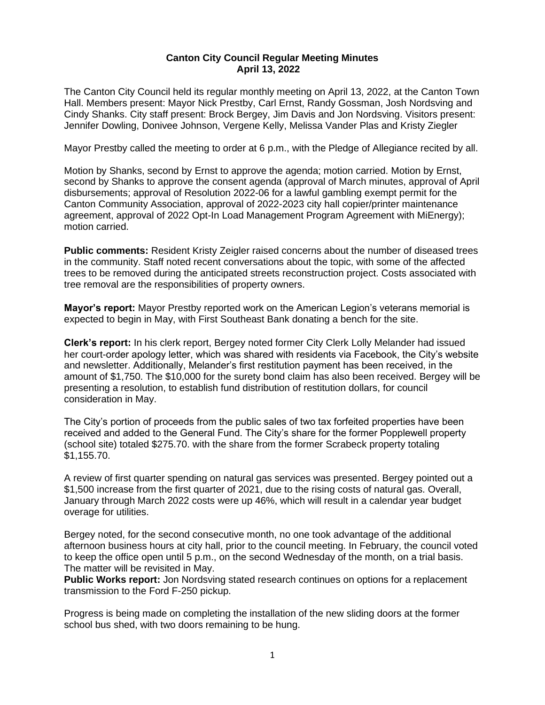## **Canton City Council Regular Meeting Minutes April 13, 2022**

The Canton City Council held its regular monthly meeting on April 13, 2022, at the Canton Town Hall. Members present: Mayor Nick Prestby, Carl Ernst, Randy Gossman, Josh Nordsving and Cindy Shanks. City staff present: Brock Bergey, Jim Davis and Jon Nordsving. Visitors present: Jennifer Dowling, Donivee Johnson, Vergene Kelly, Melissa Vander Plas and Kristy Ziegler

Mayor Prestby called the meeting to order at 6 p.m., with the Pledge of Allegiance recited by all.

Motion by Shanks, second by Ernst to approve the agenda; motion carried. Motion by Ernst, second by Shanks to approve the consent agenda (approval of March minutes, approval of April disbursements; approval of Resolution 2022-06 for a lawful gambling exempt permit for the Canton Community Association, approval of 2022-2023 city hall copier/printer maintenance agreement, approval of 2022 Opt-In Load Management Program Agreement with MiEnergy); motion carried.

**Public comments:** Resident Kristy Zeigler raised concerns about the number of diseased trees in the community. Staff noted recent conversations about the topic, with some of the affected trees to be removed during the anticipated streets reconstruction project. Costs associated with tree removal are the responsibilities of property owners.

**Mayor's report:** Mayor Prestby reported work on the American Legion's veterans memorial is expected to begin in May, with First Southeast Bank donating a bench for the site.

**Clerk's report:** In his clerk report, Bergey noted former City Clerk Lolly Melander had issued her court-order apology letter, which was shared with residents via Facebook, the City's website and newsletter. Additionally, Melander's first restitution payment has been received, in the amount of \$1,750. The \$10,000 for the surety bond claim has also been received. Bergey will be presenting a resolution, to establish fund distribution of restitution dollars, for council consideration in May.

The City's portion of proceeds from the public sales of two tax forfeited properties have been received and added to the General Fund. The City's share for the former Popplewell property (school site) totaled \$275.70. with the share from the former Scrabeck property totaling \$1,155.70.

A review of first quarter spending on natural gas services was presented. Bergey pointed out a \$1,500 increase from the first quarter of 2021, due to the rising costs of natural gas. Overall, January through March 2022 costs were up 46%, which will result in a calendar year budget overage for utilities.

Bergey noted, for the second consecutive month, no one took advantage of the additional afternoon business hours at city hall, prior to the council meeting. In February, the council voted to keep the office open until 5 p.m., on the second Wednesday of the month, on a trial basis. The matter will be revisited in May.

**Public Works report:** Jon Nordsving stated research continues on options for a replacement transmission to the Ford F-250 pickup.

Progress is being made on completing the installation of the new sliding doors at the former school bus shed, with two doors remaining to be hung.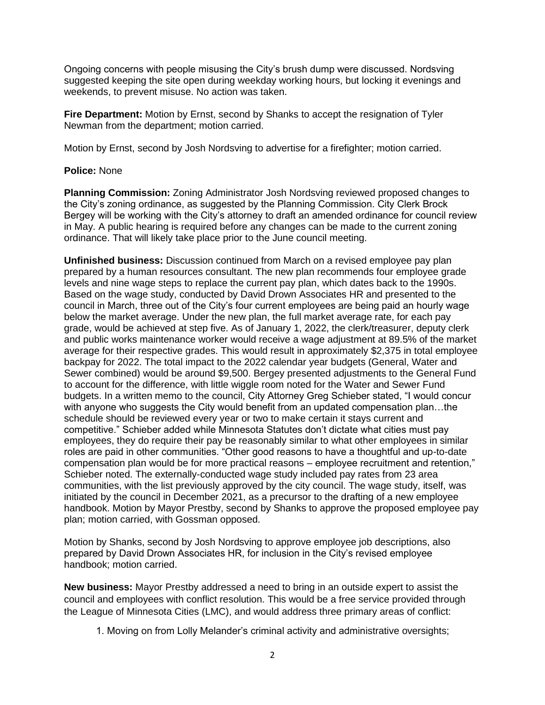Ongoing concerns with people misusing the City's brush dump were discussed. Nordsving suggested keeping the site open during weekday working hours, but locking it evenings and weekends, to prevent misuse. No action was taken.

**Fire Department:** Motion by Ernst, second by Shanks to accept the resignation of Tyler Newman from the department; motion carried.

Motion by Ernst, second by Josh Nordsving to advertise for a firefighter; motion carried.

## **Police:** None

**Planning Commission:** Zoning Administrator Josh Nordsving reviewed proposed changes to the City's zoning ordinance, as suggested by the Planning Commission. City Clerk Brock Bergey will be working with the City's attorney to draft an amended ordinance for council review in May. A public hearing is required before any changes can be made to the current zoning ordinance. That will likely take place prior to the June council meeting.

**Unfinished business:** Discussion continued from March on a revised employee pay plan prepared by a human resources consultant. The new plan recommends four employee grade levels and nine wage steps to replace the current pay plan, which dates back to the 1990s. Based on the wage study, conducted by David Drown Associates HR and presented to the council in March, three out of the City's four current employees are being paid an hourly wage below the market average. Under the new plan, the full market average rate, for each pay grade, would be achieved at step five. As of January 1, 2022, the clerk/treasurer, deputy clerk and public works maintenance worker would receive a wage adjustment at 89.5% of the market average for their respective grades. This would result in approximately \$2,375 in total employee backpay for 2022. The total impact to the 2022 calendar year budgets (General, Water and Sewer combined) would be around \$9,500. Bergey presented adjustments to the General Fund to account for the difference, with little wiggle room noted for the Water and Sewer Fund budgets. In a written memo to the council, City Attorney Greg Schieber stated, "I would concur with anyone who suggests the City would benefit from an updated compensation plan…the schedule should be reviewed every year or two to make certain it stays current and competitive." Schieber added while Minnesota Statutes don't dictate what cities must pay employees, they do require their pay be reasonably similar to what other employees in similar roles are paid in other communities. "Other good reasons to have a thoughtful and up-to-date compensation plan would be for more practical reasons – employee recruitment and retention," Schieber noted. The externally-conducted wage study included pay rates from 23 area communities, with the list previously approved by the city council. The wage study, itself, was initiated by the council in December 2021, as a precursor to the drafting of a new employee handbook. Motion by Mayor Prestby, second by Shanks to approve the proposed employee pay plan; motion carried, with Gossman opposed.

Motion by Shanks, second by Josh Nordsving to approve employee job descriptions, also prepared by David Drown Associates HR, for inclusion in the City's revised employee handbook; motion carried.

**New business:** Mayor Prestby addressed a need to bring in an outside expert to assist the council and employees with conflict resolution. This would be a free service provided through the League of Minnesota Cities (LMC), and would address three primary areas of conflict:

1. Moving on from Lolly Melander's criminal activity and administrative oversights;